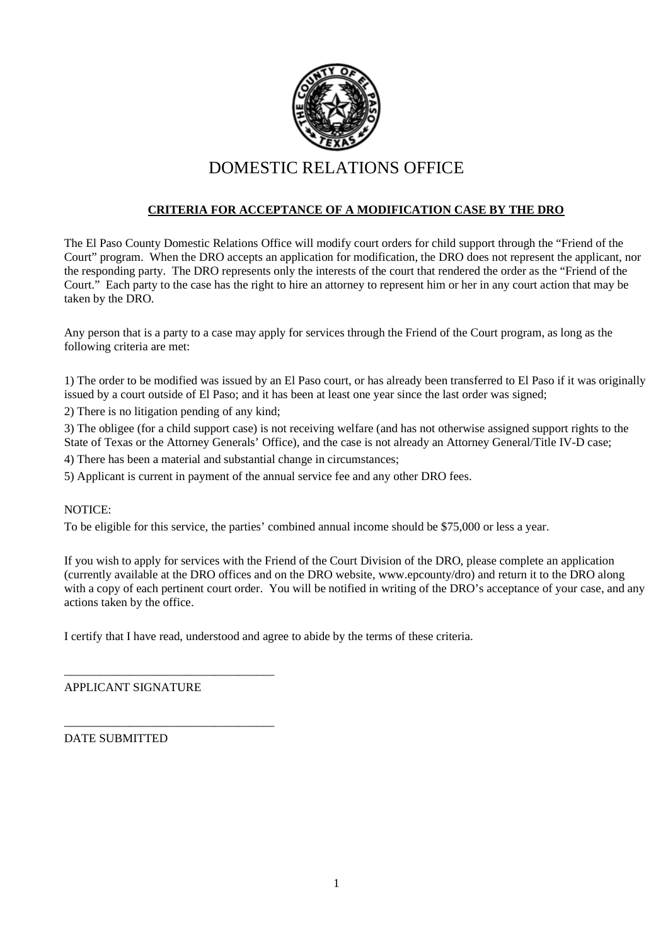

### **CRITERIA FOR ACCEPTANCE OF A MODIFICATION CASE BY THE DRO**

The El Paso County Domestic Relations Office will modify court orders for child support through the "Friend of the Court" program. When the DRO accepts an application for modification, the DRO does not represent the applicant, nor the responding party. The DRO represents only the interests of the court that rendered the order as the "Friend of the Court." Each party to the case has the right to hire an attorney to represent him or her in any court action that may be taken by the DRO.

Any person that is a party to a case may apply for services through the Friend of the Court program, as long as the following criteria are met:

1) The order to be modified was issued by an El Paso court, or has already been transferred to El Paso if it was originally issued by a court outside of El Paso; and it has been at least one year since the last order was signed;

2) There is no litigation pending of any kind;

3) The obligee (for a child support case) is not receiving welfare (and has not otherwise assigned support rights to the State of Texas or the Attorney Generals' Office), and the case is not already an Attorney General/Title IV-D case;

4) There has been a material and substantial change in circumstances;

5) Applicant is current in payment of the annual service fee and any other DRO fees.

#### NOTICE:

To be eligible for this service, the parties' combined annual income should be \$75,000 or less a year.

If you wish to apply for services with the Friend of the Court Division of the DRO, please complete an application (currently available at the DRO offices and on the DRO website, www.epcounty/dro) and return it to the DRO along with a copy of each pertinent court order. You will be notified in writing of the DRO's acceptance of your case, and any actions taken by the office.

I certify that I have read, understood and agree to abide by the terms of these criteria.

APPLICANT SIGNATURE

\_\_\_\_\_\_\_\_\_\_\_\_\_\_\_\_\_\_\_\_\_\_\_\_\_\_\_\_\_\_\_\_\_\_\_

\_\_\_\_\_\_\_\_\_\_\_\_\_\_\_\_\_\_\_\_\_\_\_\_\_\_\_\_\_\_\_\_\_\_\_

DATE SUBMITTED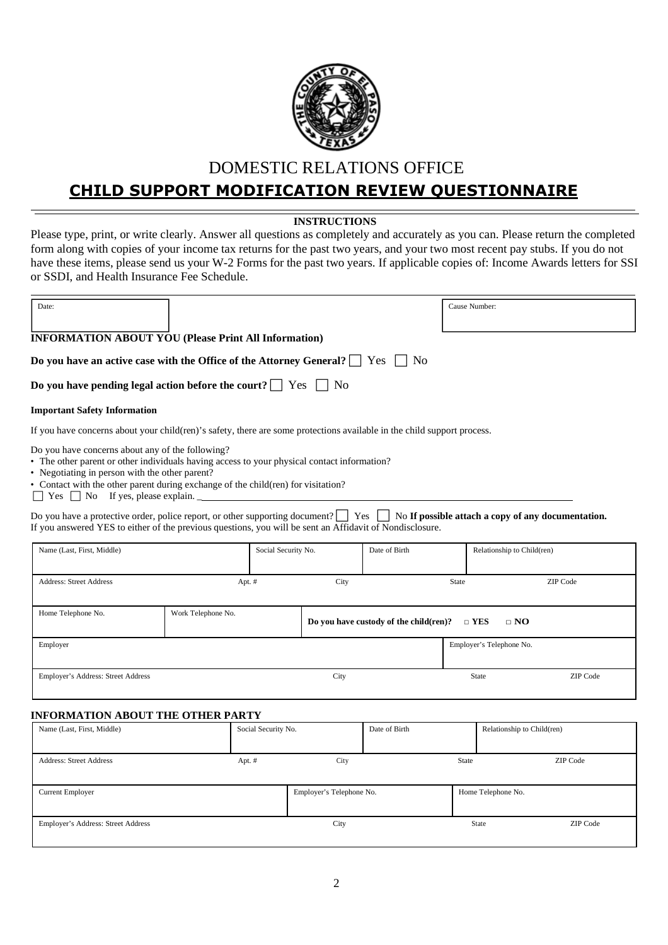

# **CHILD SUPPORT MODIFICATION REVIEW QUESTIONNAIRE**

#### **INSTRUCTIONS**

Please type, print, or write clearly. Answer all questions as completely and accurately as you can. Please return the completed form along with copies of your income tax returns for the past two years, and your two most recent pay stubs. If you do not have these items, please send us your W-2 Forms for the past two years. If applicable copies of: Income Awards letters for SSI or SSDI, and Health Insurance Fee Schedule.

| Date:                                                                                                                                                                                                                                                                                  |                    |      |                                        | Cause Number: |             |  |
|----------------------------------------------------------------------------------------------------------------------------------------------------------------------------------------------------------------------------------------------------------------------------------------|--------------------|------|----------------------------------------|---------------|-------------|--|
| <b>INFORMATION ABOUT YOU (Please Print All Information)</b>                                                                                                                                                                                                                            |                    |      |                                        |               |             |  |
| Do you have an active case with the Office of the Attorney General? $\Box$                                                                                                                                                                                                             |                    |      | <b>Yes</b><br>N <sub>o</sub>           |               |             |  |
| Do you have pending legal action before the court? $\Box$ Yes $\Box$ No                                                                                                                                                                                                                |                    |      |                                        |               |             |  |
| <b>Important Safety Information</b>                                                                                                                                                                                                                                                    |                    |      |                                        |               |             |  |
| If you have concerns about your child (ren)'s safety, there are some protections available in the child support process.                                                                                                                                                               |                    |      |                                        |               |             |  |
| Do you have concerns about any of the following?<br>• The other parent or other individuals having access to your physical contact information?<br>• Negotiating in person with the other parent?<br>• Contact with the other parent during exchange of the child(ren) for visitation? |                    |      |                                        |               |             |  |
| Do you have a protective order, police report, or other supporting document? $\vert$ Yes $\vert$ No If possible attach a copy of any documentation.<br>If you answered YES to either of the previous questions, you will be sent an Affidavit of Nondisclosure.                        |                    |      |                                        |               |             |  |
| Date of Birth<br>Name (Last, First, Middle)<br>Social Security No.<br>Relationship to Child(ren)                                                                                                                                                                                       |                    |      |                                        |               |             |  |
| <b>Address: Street Address</b>                                                                                                                                                                                                                                                         | Apt. #             | City |                                        | State         | ZIP Code    |  |
| Home Telephone No.                                                                                                                                                                                                                                                                     | Work Telephone No. |      | Do you have custody of the child(ren)? | $\sqcap$ YES  | $\sqcap$ NO |  |

|                                    | Do you have custody of the child reflection<br>$\Box$ i Eq<br>$\sqcup$ inde |                          |          |  |  |
|------------------------------------|-----------------------------------------------------------------------------|--------------------------|----------|--|--|
| Employer                           |                                                                             | Employer's Telephone No. |          |  |  |
| Employer's Address: Street Address | City                                                                        | State                    | ZIP Code |  |  |

### **INFORMATION ABOUT THE OTHER PARTY**

| Name (Last, First, Middle)         | Social Security No. |                          | Date of Birth |       | Relationship to Child(ren) |
|------------------------------------|---------------------|--------------------------|---------------|-------|----------------------------|
|                                    |                     |                          |               |       |                            |
| <b>Address: Street Address</b>     | Apt. #              | City                     |               | State | ZIP Code                   |
|                                    |                     |                          |               |       |                            |
| Current Employer                   |                     | Employer's Telephone No. |               |       | Home Telephone No.         |
|                                    |                     |                          |               |       |                            |
| Employer's Address: Street Address |                     | City                     |               |       | ZIP Code<br>State          |
|                                    |                     |                          |               |       |                            |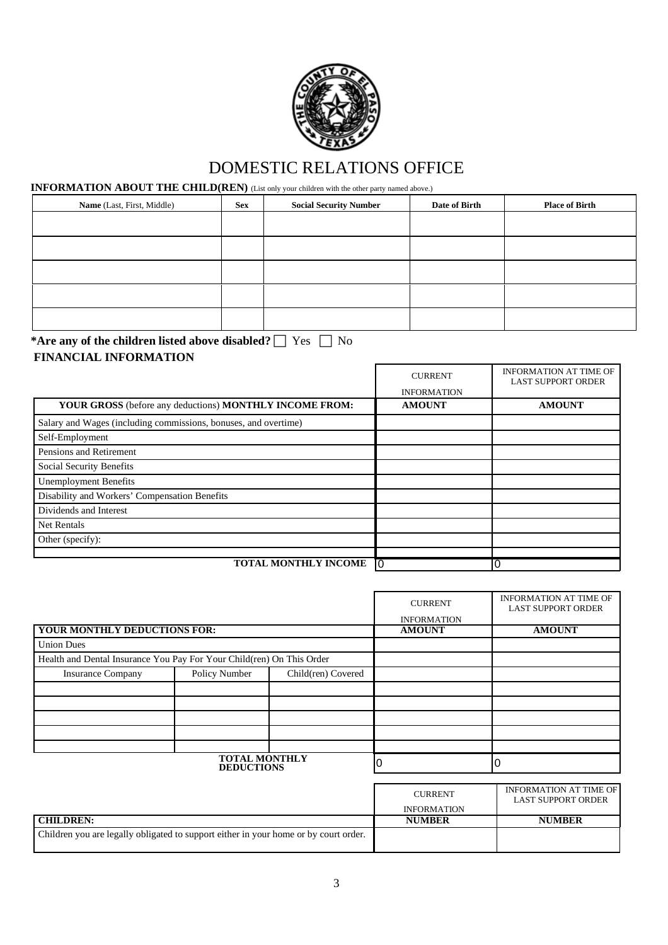

### **INFORMATION ABOUT THE CHILD(REN)** (List only your children with the other party named above.)

| Name (Last, First, Middle) | <b>Sex</b> | <b>Social Security Number</b> | Date of Birth | <b>Place of Birth</b> |
|----------------------------|------------|-------------------------------|---------------|-----------------------|
|                            |            |                               |               |                       |
|                            |            |                               |               |                       |
|                            |            |                               |               |                       |
|                            |            |                               |               |                       |
|                            |            |                               |               |                       |

**\*Are any of the children listed above disabled?**  $\Box$  Yes  $\Box$  No **FINANCIAL INFORMATION**

|                                                                 | <b>CURRENT</b>     | <b>INFORMATION AT TIME OF</b><br><b>LAST SUPPORT ORDER</b> |
|-----------------------------------------------------------------|--------------------|------------------------------------------------------------|
|                                                                 | <b>INFORMATION</b> |                                                            |
| YOUR GROSS (before any deductions) MONTHLY INCOME FROM:         | <b>AMOUNT</b>      | <b>AMOUNT</b>                                              |
| Salary and Wages (including commissions, bonuses, and overtime) |                    |                                                            |
| Self-Employment                                                 |                    |                                                            |
| Pensions and Retirement                                         |                    |                                                            |
| Social Security Benefits                                        |                    |                                                            |
| <b>Unemployment Benefits</b>                                    |                    |                                                            |
| Disability and Workers' Compensation Benefits                   |                    |                                                            |
| Dividends and Interest                                          |                    |                                                            |
| <b>Net Rentals</b>                                              |                    |                                                            |
| Other (specify):                                                |                    |                                                            |
| <b>TOTAL MONTHLY INCOME</b>                                     |                    | 0                                                          |

|                                                                       |               |                    | <b>CURRENT</b><br><b>INFORMATION</b> | <b>INFORMATION AT TIME OF</b><br><b>LAST SUPPORT ORDER</b> |
|-----------------------------------------------------------------------|---------------|--------------------|--------------------------------------|------------------------------------------------------------|
| YOUR MONTHLY DEDUCTIONS FOR:                                          |               |                    | <b>AMOUNT</b>                        | <b>AMOUNT</b>                                              |
| <b>Union Dues</b>                                                     |               |                    |                                      |                                                            |
| Health and Dental Insurance You Pay For Your Child(ren) On This Order |               |                    |                                      |                                                            |
| <b>Insurance Company</b>                                              | Policy Number | Child(ren) Covered |                                      |                                                            |
|                                                                       |               |                    |                                      |                                                            |
|                                                                       |               |                    |                                      |                                                            |
|                                                                       |               |                    |                                      |                                                            |
|                                                                       |               |                    |                                      |                                                            |
|                                                                       |               |                    |                                      |                                                            |
| TOTAL MONTHLY<br><b>DEDUCTIONS</b>                                    |               |                    | 0                                    | 10                                                         |

|                  | <b>CURRENT</b>     | INFORMATION AT TIME OF<br><b>LAST SUPPORT ORDER</b> |
|------------------|--------------------|-----------------------------------------------------|
|                  | <b>INFORMATION</b> |                                                     |
| <b>CHILDREN:</b> | <b>NUMBER</b>      | <b>NUMBER</b>                                       |
|                  |                    |                                                     |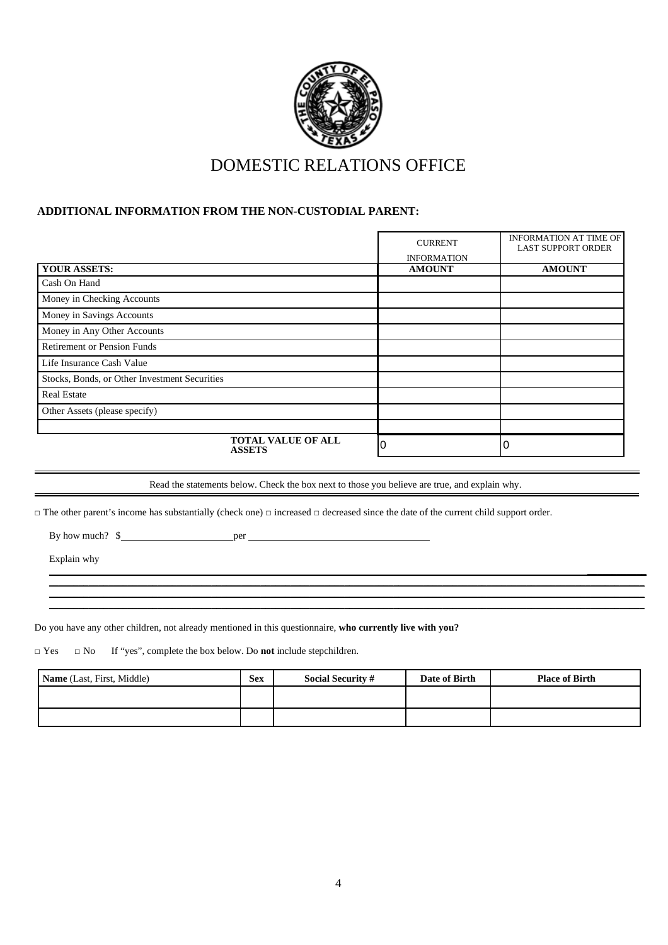

#### **ADDITIONAL INFORMATION FROM THE NON-CUSTODIAL PARENT:**

|                                               |                                            | <b>CURRENT</b>     | <b>INFORMATION AT TIME OF</b><br><b>LAST SUPPORT ORDER</b> |
|-----------------------------------------------|--------------------------------------------|--------------------|------------------------------------------------------------|
|                                               |                                            | <b>INFORMATION</b> |                                                            |
| <b>YOUR ASSETS:</b>                           |                                            | <b>AMOUNT</b>      | <b>AMOUNT</b>                                              |
| Cash On Hand                                  |                                            |                    |                                                            |
| Money in Checking Accounts                    |                                            |                    |                                                            |
| Money in Savings Accounts                     |                                            |                    |                                                            |
| Money in Any Other Accounts                   |                                            |                    |                                                            |
| <b>Retirement or Pension Funds</b>            |                                            |                    |                                                            |
| Life Insurance Cash Value                     |                                            |                    |                                                            |
| Stocks, Bonds, or Other Investment Securities |                                            |                    |                                                            |
| <b>Real Estate</b>                            |                                            |                    |                                                            |
| Other Assets (please specify)                 |                                            |                    |                                                            |
|                                               |                                            |                    |                                                            |
|                                               | <b>TOTAL VALUE OF ALL</b><br><b>ASSETS</b> |                    |                                                            |

Read the statements below. Check the box next to those you believe are true, and explain why.

 $\_$  ,  $\_$  ,  $\_$  ,  $\_$  ,  $\_$  ,  $\_$  ,  $\_$  ,  $\_$  ,  $\_$  ,  $\_$  ,  $\_$  ,  $\_$  ,  $\_$  ,  $\_$  ,  $\_$  ,  $\_$  ,  $\_$  ,  $\_$  ,  $\_$  ,  $\_$  ,  $\_$  ,  $\_$  ,  $\_$  ,  $\_$  ,  $\_$  ,  $\_$  ,  $\_$  ,  $\_$  ,  $\_$  ,  $\_$  ,  $\_$  ,  $\_$  ,  $\_$  ,  $\_$  ,  $\_$  ,  $\_$  ,  $\_$  ,  $\_$  ,  $\_$  ,  $\_$  ,  $\_$  ,  $\_$  ,  $\_$  ,  $\_$  ,  $\_$  ,  $\_$  ,  $\_$  ,  $\_$  ,  $\_$  ,  $\_$  ,  $\_$  ,  $\_$  ,  $\_$  ,  $\_$  ,  $\_$  ,  $\_$  ,  $\_$  ,  $\_$  ,  $\_$  ,  $\_$  ,  $\_$  ,  $\_$  ,  $\_$  ,  $\_$  ,  $\_$  ,  $\_$  ,  $\_$  ,  $\_$  ,  $\_$  ,  $\_$  ,  $\_$  ,  $\_$  ,  $\_$  ,  $\_$  ,  $\_$  , and the set of the set of the set of the set of the set of the set of the set of the set of the set of the set of the set of the set of the set of the set of the set of the set of the set of the set of the set of th

 $\overline{\phantom{a}}$  , where  $\overline{\phantom{a}}$ 

□ The other parent's income has substantially (check one) □ increased □ decreased since the date of the current child support order.

By how much?  $\frac{1}{2}$  per per

Explain why

Do you have any other children, not already mentioned in this questionnaire, **who currently live with you?**

□ Yes □ No If "yes", complete the box below. Do **not** include stepchildren.

| <b>Name</b> (Last, First, Middle) | <b>Sex</b> | <b>Social Security #</b> | Date of Birth | <b>Place of Birth</b> |
|-----------------------------------|------------|--------------------------|---------------|-----------------------|
|                                   |            |                          |               |                       |
|                                   |            |                          |               |                       |